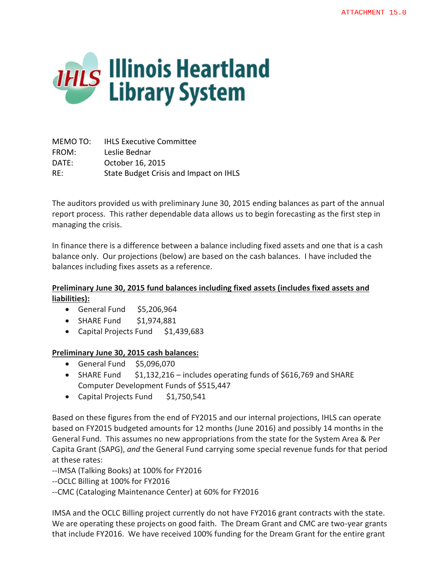

MEMO TO: IHLS Executive Committee FROM: Leslie Bednar DATE: October 16, 2015 RE: State Budget Crisis and Impact on IHLS

The auditors provided us with preliminary June 30, 2015 ending balances as part of the annual report process. This rather dependable data allows us to begin forecasting as the first step in managing the crisis.

In finance there is a difference between a balance including fixed assets and one that is a cash balance only. Our projections (below) are based on the cash balances. I have included the balances including fixes assets as a reference.

## **Preliminary June 30, 2015 fund balances including fixed assets (includes fixed assets and liabilities):**

- General Fund  $$5,206,964$
- SHARE Fund \$1,974,881
- Capital Projects Fund \$1,439,683

## **Preliminary June 30, 2015 cash balances:**

- $\bullet$  General Fund \$5,096,070
- SHARE Fund  $$1,132,216$  includes operating funds of \$616,769 and SHARE Computer Development Funds of \$515,447
- Capital Projects Fund \$1,750,541

Based on these figures from the end of FY2015 and our internal projections, IHLS can operate based on FY2015 budgeted amounts for 12 months (June 2016) and possibly 14 months in the General Fund. This assumes no new appropriations from the state for the System Area & Per Capita Grant (SAPG), *and* the General Fund carrying some special revenue funds for that period at these rates:

--IMSA (Talking Books) at 100% for FY2016

--OCLC Billing at 100% for FY2016

--CMC (Cataloging Maintenance Center) at 60% for FY2016

IMSA and the OCLC Billing project currently do not have FY2016 grant contracts with the state. We are operating these projects on good faith. The Dream Grant and CMC are two-year grants that include FY2016. We have received 100% funding for the Dream Grant for the entire grant